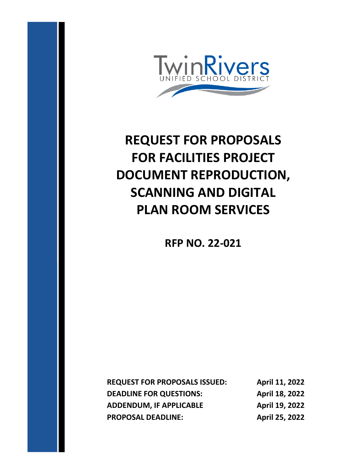

# **REQUEST FOR PROPOSALS FOR FACILITIES PROJECT DOCUMENT REPRODUCTION, SCANNING AND DIGITAL PLAN ROOM SERVICES**

**RFP NO. 22-021**

**REQUEST FOR PROPOSALS ISSUED: April 11, 2022 DEADLINE FOR QUESTIONS:** April 18, 2022 **ADDENDUM, IF APPLICABLE April 19, 2022 PROPOSAL DEADLINE: April 25, 2022**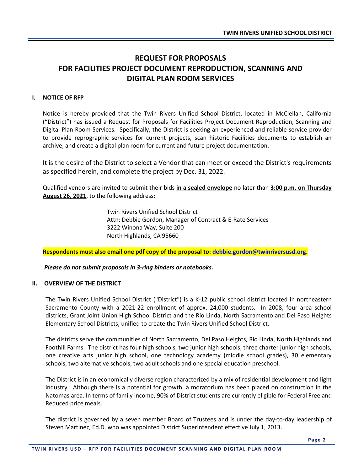### **REQUEST FOR PROPOSALS FOR FACILITIES PROJECT DOCUMENT REPRODUCTION, SCANNING AND DIGITAL PLAN ROOM SERVICES**

#### **I. NOTICE OF RFP**

Notice is hereby provided that the Twin Rivers Unified School District, located in McClellan, California ("District") has issued a Request for Proposals for Facilities Project Document Reproduction, Scanning and Digital Plan Room Services. Specifically, the District is seeking an experienced and reliable service provider to provide reprographic services for current projects, scan historic Facilities documents to establish an archive, and create a digital plan room for current and future project documentation.

It is the desire of the District to select a Vendor that can meet or exceed the District's requirements as specified herein, and complete the project by Dec. 31, 2022.

Qualified vendors are invited to submit their bids **in a sealed envelope** no later than **3:00 p.m. on Thursday August 26, 2021**, to the following address:

> Twin Rivers Unified School District Attn: Debbie Gordon, Manager of Contract & E-Rate Services 3222 Winona Way, Suite 200 North Highlands, CA 95660

**Respondents must also email one pdf copy of the proposal to: [debbie.gordon@twinriversusd.org.](mailto:debbie.gordon@twinriversusd.org)**

*Please do not submit proposals in 3-ring binders or notebooks.*

#### **II. OVERVIEW OF THE DISTRICT**

The Twin Rivers Unified School District ("District") is a K-12 public school district located in northeastern Sacramento County with a 2021-22 enrollment of approx. 24,000 students. In 2008, four area school districts, Grant Joint Union High School District and the Rio Linda, North Sacramento and Del Paso Heights Elementary School Districts, unified to create the Twin Rivers Unified School District.

The districts serve the communities of North Sacramento, Del Paso Heights, Rio Linda, North Highlands and Foothill Farms. The district has four high schools, two junior high schools, three charter junior high schools, one creative arts junior high school, one technology academy (middle school grades), 30 elementary schools, two alternative schools, two adult schools and one special education preschool.

The District is in an economically diverse region characterized by a mix of residential development and light industry. Although there is a potential for growth, a moratorium has been placed on construction in the Natomas area. In terms of family income, 90% of District students are currently eligible for Federal Free and Reduced price meals.

The district is governed by a seven member Board of Trustees and is under the day-to-day leadership of Steven Martinez, Ed.D. who was appointed District Superintendent effective July 1, 2013.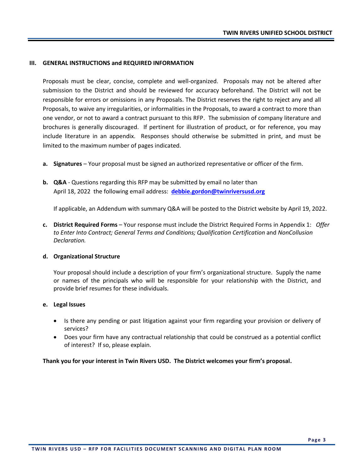#### **III. GENERAL INSTRUCTIONS and REQUIRED INFORMATION**

Proposals must be clear, concise, complete and well-organized. Proposals may not be altered after submission to the District and should be reviewed for accuracy beforehand. The District will not be responsible for errors or omissions in any Proposals. The District reserves the right to reject any and all Proposals, to waive any irregularities, or informalities in the Proposals, to award a contract to more than one vendor, or not to award a contract pursuant to this RFP. The submission of company literature and brochures is generally discouraged. If pertinent for illustration of product, or for reference, you may include literature in an appendix. Responses should otherwise be submitted in print, and must be limited to the maximum number of pages indicated.

- **a. Signatures**  Your proposal must be signed an authorized representative or officer of the firm.
- **b. Q&A** Questions regarding this RFP may be submitted by email no later than April 18, 2022 the following email address: **[debbie.gordon@twinriversusd.org](mailto:steve.martinez@twinriversusd.org)**

If applicable, an Addendum with summary Q&A will be posted to the District website by April 19, 2022.

**c. District Required Forms** – Your response must include the District Required Forms in Appendix 1: *Offer to Enter Into Contract; General Terms and Conditions; Qualification Certification* and *NonCollusion Declaration.*

#### **d. Organizational Structure**

Your proposal should include a description of your firm's organizational structure. Supply the name or names of the principals who will be responsible for your relationship with the District, and provide brief resumes for these individuals.

#### **e. Legal Issues**

- Is there any pending or past litigation against your firm regarding your provision or delivery of services?
- Does your firm have any contractual relationship that could be construed as a potential conflict of interest? If so, please explain.

#### **Thank you for your interest in Twin Rivers USD. The District welcomes your firm's proposal.**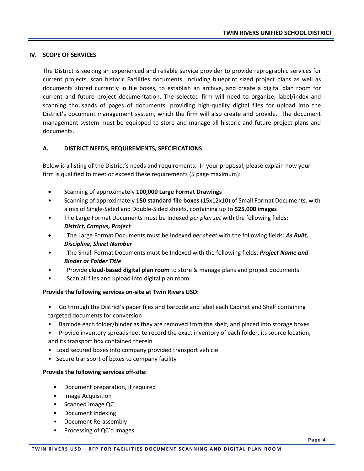#### **IV. SCOPE OF SERVICES**

The District is seeking an experienced and reliable service provider to provide reprographic services for current projects, scan historic Facilities documents, including blueprint sized project plans as well as documents stored currently in file boxes, to establish an archive, and create a digital plan room for current and future project documentation. The selected firm will need to organize, label/index and scanning thousands of pages of documents, providing high-quality digital files for upload into the District's document management system, which the firm will also create and provide. The document management system must be equipped to store and manage all historic and future project plans and documents.

#### **A. DISTRICT NEEDS, REQUIREMENTS, SPECIFICATIONS**

Below is a listing of the District's needs and requirements. In your proposal, please explain how your firm is qualified to meet or exceed these requirements (5 page maximum):

- Scanning of approximately **100,000 Large Format Drawings**
- Scanning of approximately **150 standard file boxes** (15x12x10) of Small Format Documents, with a mix of Single-Sided and Double-Sided sheets, containing up to **525,000 images**
- The Large Format Documents must be Indexed *per plan set* with the following fields: *District, Campus, Project*
- The Large Format Documents must be Indexed *per sheet* with the following fields: *As Built, Discipline, Sheet Number*
- The Small Format Documents must be Indexed with the following fields: *Project Name and Binder or Folder Title*
- Provide **cloud-based digital plan room** to store & manage plans and project documents.
- Scan all files and upload into digital plan room.

#### **Provide the following services on-site at Twin Rivers USD:**

- Go through the District's paper files and barcode and label each Cabinet and Shelf containing targeted documents for conversion
- Barcode each folder/binder as they are removed from the shelf, and placed into storage boxes
- Provide inventory spreadsheet to record the exact inventory of each folder, its source location, and its transport box contained therein
- Load secured boxes into company provided transport vehicle
- Secure transport of boxes to company facility

#### **Provide the following services off-site:**

- Document preparation, if required
- Image Acquisition
- Scanned Image QC
- Document Indexing
- Document Re-assembly
- Processing of QC'd Images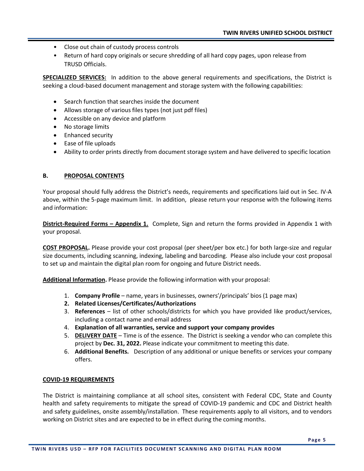- Close out chain of custody process controls
- Return of hard copy originals or secure shredding of all hard copy pages, upon release from TRUSD Officials.

**SPECIALIZED SERVICES:** In addition to the above general requirements and specifications, the District is seeking a cloud-based document management and storage system with the following capabilities:

- Search function that searches inside the document
- Allows storage of various files types (not just pdf files)
- Accessible on any device and platform
- No storage limits
- Enhanced security
- Ease of file uploads
- Ability to order prints directly from document storage system and have delivered to specific location

#### **B. PROPOSAL CONTENTS**

Your proposal should fully address the District's needs, requirements and specifications laid out in Sec. IV-A above, within the 5-page maximum limit. In addition, please return your response with the following items and information:

**District-Required Forms – Appendix 1.** Complete, Sign and return the forms provided in Appendix 1 with your proposal.

**COST PROPOSAL.** Please provide your cost proposal (per sheet/per box etc.) for both large-size and regular size documents, including scanning, indexing, labeling and barcoding. Please also include your cost proposal to set up and maintain the digital plan room for ongoing and future District needs.

**Additional Information.** Please provide the following information with your proposal:

- 1. **Company Profile** name, years in businesses, owners'/principals' bios (1 page max)
- **2. Related Licenses/Certificates/Authorizations**
- 3. **References** list of other schools/districts for which you have provided like product/services, including a contact name and email address
- 4. **Explanation of all warranties, service and support your company provides**
- 5. **DELIVERY DATE** Time is of the essence. The District is seeking a vendor who can complete this project by **Dec. 31, 2022.** Please indicate your commitment to meeting this date.
- 6. **Additional Benefits.** Description of any additional or unique benefits or services your company offers.

#### **COVID-19 REQUIREMENTS**

The District is maintaining compliance at all school sites, consistent with Federal CDC, State and County health and safety requirements to mitigate the spread of COVID-19 pandemic and CDC and District health and safety guidelines, onsite assembly/installation. These requirements apply to all visitors, and to vendors working on District sites and are expected to be in effect during the coming months.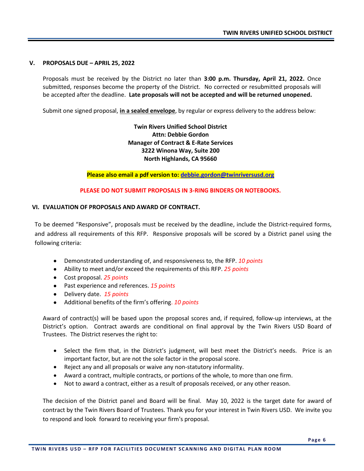#### **V. PROPOSALS DUE – APRIL 25, 2022**

Proposals must be received by the District no later than **3:00 p.m. Thursday, April 21, 2022.** Once submitted, responses become the property of the District. No corrected or resubmitted proposals will be accepted after the deadline. **Late proposals will not be accepted and will be returned unopened.** 

Submit one signed proposal, **in a sealed envelope**, by regular or express delivery to the address below:

**Twin Rivers Unified School District Attn: Debbie Gordon Manager of Contract & E-Rate Services 3222 Winona Way, Suite 200 North Highlands, CA 95660**

**Please also email a pdf version to: [debbie.gordon@twinriversusd.org](mailto:debbie.gordon@twinriversusd.org)**

**PLEASE DO NOT SUBMIT PROPOSALS IN 3-RING BINDERS OR NOTEBOOKS.**

#### **VI. EVALUATION OF PROPOSALS AND AWARD OF CONTRACT.**

To be deemed "Responsive", proposals must be received by the deadline, include the District-required forms, and address all requirements of this RFP. Responsive proposals will be scored by a District panel using the following criteria:

- Demonstrated understanding of, and responsiveness to, the RFP. *10 points*
- Ability to meet and/or exceed the requirements of this RFP. *25 points*
- Cost proposal. *25 points*
- Past experience and references. *15 points*
- Delivery date. *15 points*
- Additional benefits of the firm's offering. *10 points*

Award of contract(s) will be based upon the proposal scores and, if required, follow-up interviews, at the District's option. Contract awards are conditional on final approval by the Twin Rivers USD Board of Trustees. The District reserves the right to:

- Select the firm that, in the District's judgment, will best meet the District's needs. Price is an important factor, but are not the sole factor in the proposal score.
- Reject any and all proposals or waive any non-statutory informality.
- Award a contract, multiple contracts, or portions of the whole, to more than one firm.
- Not to award a contract, either as a result of proposals received, or any other reason.

The decision of the District panel and Board will be final. May 10, 2022 is the target date for award of contract by the Twin Rivers Board of Trustees. Thank you for your interest in Twin Rivers USD. We invite you to respond and look forward to receiving your firm's proposal.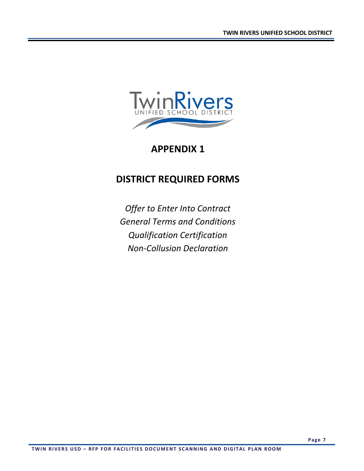

## **APPENDIX 1**

# **DISTRICT REQUIRED FORMS**

*Offer to Enter Into Contract General Terms and Conditions Qualification Certification Non-Collusion Declaration*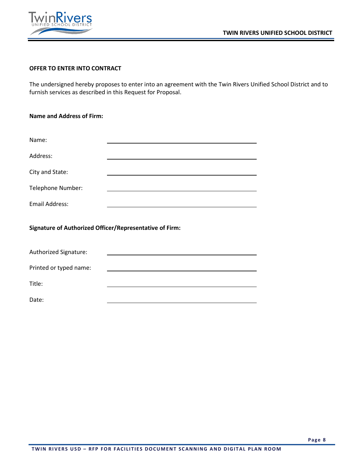



#### **OFFER TO ENTER INTO CONTRACT**

The undersigned hereby proposes to enter into an agreement with the Twin Rivers Unified School District and to furnish services as described in this Request for Proposal.

| <b>Name and Address of Firm:</b>                               |  |  |  |
|----------------------------------------------------------------|--|--|--|
|                                                                |  |  |  |
| Name:                                                          |  |  |  |
| Address:                                                       |  |  |  |
| City and State:                                                |  |  |  |
| Telephone Number:                                              |  |  |  |
| <b>Email Address:</b>                                          |  |  |  |
| <b>Signature of Authorized Officer/Representative of Firm:</b> |  |  |  |
| Authorized Signature:                                          |  |  |  |

Printed or typed name:

Title:

Date: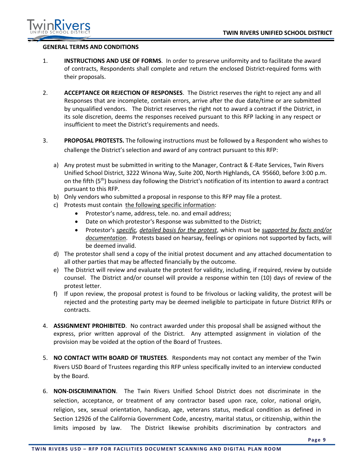

#### **GENERAL TERMS AND CONDITIONS**

- 1. **INSTRUCTIONS AND USE OF FORMS**. In order to preserve uniformity and to facilitate the award of contracts, Respondents shall complete and return the enclosed District-required forms with their proposals.
- 2. **ACCEPTANCE OR REJECTION OF RESPONSES**. The District reserves the right to reject any and all Responses that are incomplete, contain errors, arrive after the due date/time or are submitted by unqualified vendors. The District reserves the right not to award a contract if the District, in its sole discretion, deems the responses received pursuant to this RFP lacking in any respect or insufficient to meet the District's requirements and needs.
- 3. **PROPOSAL PROTESTS.** The following instructions must be followed by a Respondent who wishes to challenge the District's selection and award of any contract pursuant to this RFP:
	- a) Any protest must be submitted in writing to the Manager, Contract & E-Rate Services, Twin Rivers Unified School District, 3222 Winona Way, Suite 200, North Highlands, CA 95660, before 3:00 p.m. on the fifth (5<sup>th</sup>) business day following the District's notification of its intention to award a contract pursuant to this RFP.
	- b) Only vendors who submitted a proposal in response to this RFP may file a protest.
	- c) Protests must contain the following specific information:
		- Protestor's name, address, tele. no. and email address;
		- Date on which protestor's Response was submitted to the District;
		- Protestor's *specific, detailed basis for the protest*, which must be *supported by facts and/or documentation*. Protests based on hearsay, feelings or opinions not supported by facts, will be deemed invalid.
	- d) The protestor shall send a copy of the initial protest document and any attached documentation to all other parties that may be affected financially by the outcome.
	- e) The District will review and evaluate the protest for validity, including, if required, review by outside counsel. The District and/or counsel will provide a response within ten (10) days of review of the protest letter.
	- f) If upon review, the proposal protest is found to be frivolous or lacking validity, the protest will be rejected and the protesting party may be deemed ineligible to participate in future District RFPs or contracts.
- 4. **ASSIGNMENT PROHIBITED**. No contract awarded under this proposal shall be assigned without the express, prior written approval of the District. Any attempted assignment in violation of the provision may be voided at the option of the Board of Trustees.
- 5. **NO CONTACT WITH BOARD OF TRUSTEES**. Respondents may not contact any member of the Twin Rivers USD Board of Trustees regarding this RFP unless specifically invited to an interview conducted by the Board.
- 6. **NON-DISCRIMINATION**. The Twin Rivers Unified School District does not discriminate in the selection, acceptance, or treatment of any contractor based upon race, color, national origin, religion, sex, sexual orientation, handicap, age, veterans status, medical condition as defined in Section 12926 of the California Government Code, ancestry, marital status, or citizenship, within the limits imposed by law. The District likewise prohibits discrimination by contractors and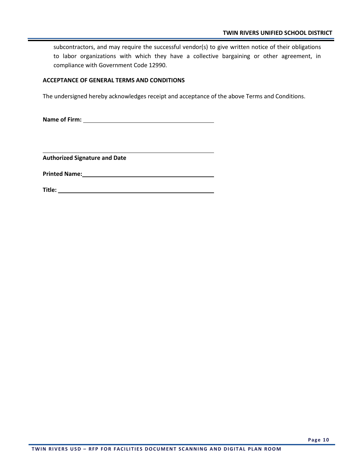subcontractors, and may require the successful vendor(s) to give written notice of their obligations to labor organizations with which they have a collective bargaining or other agreement, in compliance with Government Code 12990.

#### **ACCEPTANCE OF GENERAL TERMS AND CONDITIONS**

The undersigned hereby acknowledges receipt and acceptance of the above Terms and Conditions.

**Name of Firm:** 

**Authorized Signature and Date**

**Printed Name:**

**Title:**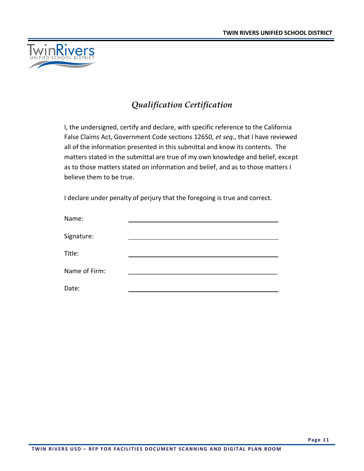

### *Qualification Certification*

I, the undersigned, certify and declare, with specific reference to the California False Claims Act, Government Code sections 12650, *et seq.*, that I have reviewed all of the information presented in this submittal and know its contents. The matters stated in the submittal are true of my own knowledge and belief, except as to those matters stated on information and belief, and as to those matters I believe them to be true.

I declare under penalty of perjury that the foregoing is true and correct.

| Name:         |  |
|---------------|--|
| Signature:    |  |
| Title:        |  |
| Name of Firm: |  |
| Date:         |  |